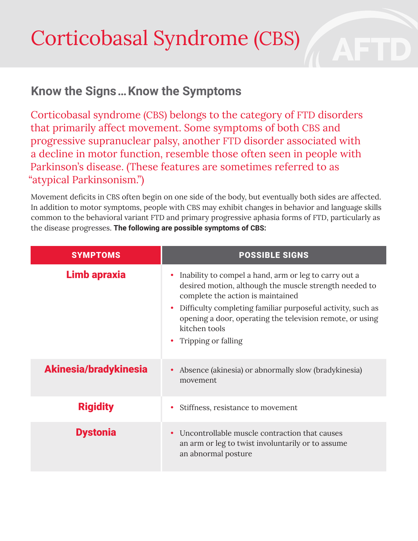## Corticobasal Syndrome (CBS)

## **Know the Signs … Know the Symptoms**

Corticobasal syndrome (CBS) belongs to the category of FTD disorders that primarily affect movement. Some symptoms of both CBS and progressive supranuclear palsy, another FTD disorder associated with a decline in motor function, resemble those often seen in people with Parkinson's disease. (These features are sometimes referred to as "atypical Parkinsonism.")

Movement deficits in CBS often begin on one side of the body, but eventually both sides are affected. In addition to motor symptoms, people with CBS may exhibit changes in behavior and language skills common to the behavioral variant FTD and primary progressive aphasia forms of FTD, particularly as the disease progresses. **The following are possible symptoms of CBS:**

| <b>SYMPTOMS</b>       | <b>POSSIBLE SIGNS</b>                                                                                                                                                                                                                                                                                                    |
|-----------------------|--------------------------------------------------------------------------------------------------------------------------------------------------------------------------------------------------------------------------------------------------------------------------------------------------------------------------|
| <b>Limb apraxia</b>   | Inability to compel a hand, arm or leg to carry out a<br>desired motion, although the muscle strength needed to<br>complete the action is maintained<br>Difficulty completing familiar purposeful activity, such as<br>opening a door, operating the television remote, or using<br>kitchen tools<br>Tripping or falling |
| Akinesia/bradykinesia | Absence (akinesia) or abnormally slow (bradykinesia)<br>movement                                                                                                                                                                                                                                                         |
| <b>Rigidity</b>       | Stiffness, resistance to movement                                                                                                                                                                                                                                                                                        |
| <b>Dystonia</b>       | Uncontrollable muscle contraction that causes<br>an arm or leg to twist involuntarily or to assume<br>an abnormal posture                                                                                                                                                                                                |